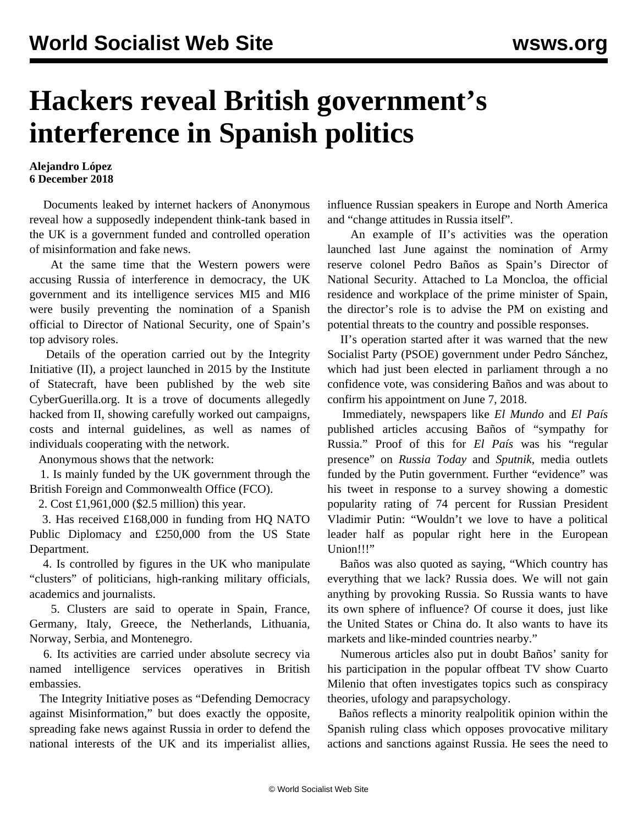## **Hackers reveal British government's interference in Spanish politics**

## **Alejandro López 6 December 2018**

 Documents leaked by internet hackers of Anonymous reveal how a supposedly independent think-tank based in the UK is a government funded and controlled operation of misinformation and fake news.

 At the same time that the Western powers were accusing Russia of interference in democracy, the UK government and its intelligence services MI5 and MI6 were busily preventing the nomination of a Spanish official to Director of National Security, one of Spain's top advisory roles.

 Details of the operation carried out by the Integrity Initiative (II), a project launched in 2015 by the Institute of Statecraft, have been published by the web site CyberGuerilla.org. It is a trove of documents allegedly hacked from II, showing carefully worked out campaigns, costs and internal guidelines, as well as names of individuals cooperating with the network.

Anonymous shows that the network:

 1. Is mainly funded by the UK government through the British Foreign and Commonwealth Office (FCO).

2. Cost £1,961,000 (\$2.5 million) this year.

 3. Has received £168,000 in funding from HQ NATO Public Diplomacy and £250,000 from the US State Department.

 4. Is controlled by figures in the UK who manipulate "clusters" of politicians, high-ranking military officials, academics and journalists.

 5. Clusters are said to operate in Spain, France, Germany, Italy, Greece, the Netherlands, Lithuania, Norway, Serbia, and Montenegro.

 6. Its activities are carried under absolute secrecy via named intelligence services operatives in British embassies.

 The Integrity Initiative poses as "Defending Democracy against Misinformation," but does exactly the opposite, spreading fake news against Russia in order to defend the national interests of the UK and its imperialist allies,

influence Russian speakers in Europe and North America and "change attitudes in Russia itself".

 An example of II's activities was the operation launched last June against the nomination of Army reserve colonel Pedro Baños as Spain's Director of National Security. Attached to La Moncloa, the official residence and workplace of the prime minister of Spain, the director's role is to advise the PM on existing and potential threats to the country and possible responses.

 II's operation started after it was warned that the new Socialist Party (PSOE) government under Pedro Sánchez, which had just been elected in parliament through a no confidence vote, was considering Baños and was about to confirm his appointment on June 7, 2018.

 Immediately, newspapers like *El Mundo* and *El País* published articles accusing Baños of "sympathy for Russia." Proof of this for *El País* was his "regular presence" on *Russia Today* and *Sputnik*, media outlets funded by the Putin government. Further "evidence" was his tweet in response to a survey showing a domestic popularity rating of 74 percent for Russian President Vladimir Putin: "Wouldn't we love to have a political leader half as popular right here in the European Union!!!"

 Baños was also quoted as saying, "Which country has everything that we lack? Russia does. We will not gain anything by provoking Russia. So Russia wants to have its own sphere of influence? Of course it does, just like the United States or China do. It also wants to have its markets and like-minded countries nearby."

 Numerous articles also put in doubt Baños' sanity for his participation in the popular offbeat TV show Cuarto Milenio that often investigates topics such as conspiracy theories, ufology and parapsychology.

 Baños reflects a minority realpolitik opinion within the Spanish ruling class which opposes provocative military actions and sanctions against Russia. He sees the need to